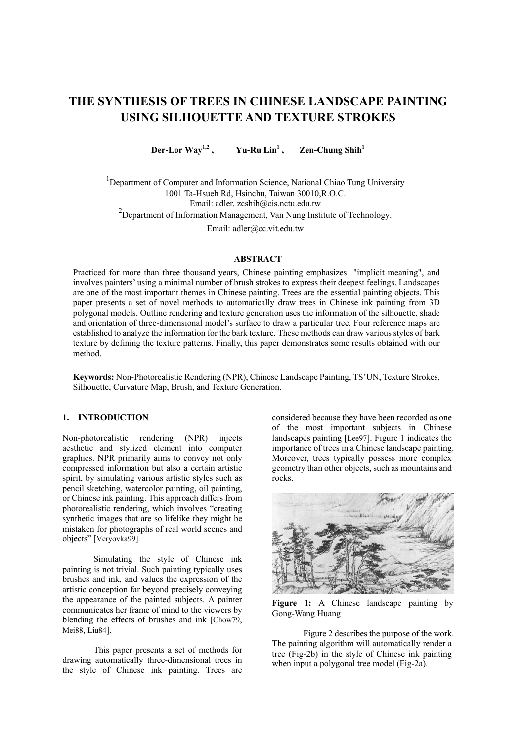# **THE SYNTHESIS OF TREES IN CHINESE LANDSCAPE PAINTING USING SILHOUETTE AND TEXTURE STROKES**

**Der-Lor Way1,2**  $Yu-Ru Lin<sup>1</sup>$ ,  **Zen-Chung Shih**<sup>1</sup>

<sup>1</sup>Department of Computer and Information Science, National Chiao Tung University 1001 Ta-Hsueh Rd, Hsinchu, Taiwan 30010,R.O.C. Email: adler, zcshih[@cis.nctu.edu.tw](mailto:adler@cis.nctu.edu.tw) <sup>2</sup>Department of Information Management, Van Nung Institute of Technology.

Email: adle[r@cc.vit.edu.tw](mailto:adler@cis.nctu.edu.tw)

#### **ABSTRACT**

Practiced for more than three thousand years, Chinese painting emphasizes "implicit meaning", and involves painters' using a minimal number of brush strokes to express their deepest feelings. Landscapes are one of the most important themes in Chinese painting. Trees are the essential painting objects. This paper presents a set of novel methods to automatically draw trees in Chinese ink painting from 3D polygonal models. Outline rendering and texture generation uses the information of the silhouette, shade and orientation of three-dimensional model's surface to draw a particular tree. Four reference maps are established to analyze the information for the bark texture. These methods can draw various styles of bark texture by defining the texture patterns. Finally, this paper demonstrates some results obtained with our method.

**Keywords:** Non-Photorealistic Rendering (NPR), Chinese Landscape Painting, TS'UN, Texture Strokes, Silhouette, Curvature Map, Brush, and Texture Generation.

### **1. INTRODUCTION**

Non-photorealistic rendering (NPR) injects aesthetic and stylized element into computer graphics. NPR primarily aims to convey not only compressed information but also a certain artistic spirit, by simulating various artistic styles such as pencil sketching, watercolor painting, oil painting, or Chinese ink painting. This approach differs from photorealistic rendering, which involves "creating synthetic images that are so lifelike they might be mistaken for photographs of real world scenes and objects" [Veryovka99].

Simulating the style of Chinese ink painting is not trivial. Such painting typically uses brushes and ink, and values the expression of the artistic conception far beyond precisely conveying the appearance of the painted subjects. A painter communicates her frame of mind to the viewers by blending the effects of brushes and ink [Chow79, Mei88, Liu84].

This paper presents a set of methods for drawing automatically three-dimensional trees in the style of Chinese ink painting. Trees are considered because they have been recorded as one of the most important subjects in Chinese landscapes painting [Lee97]. Figure 1 indicates the importance of trees in a Chinese landscape painting. Moreover, trees typically possess more complex geometry than other objects, such as mountains and rocks.



Figure 1: A Chinese landscape painting by Gong-Wang Huang

Figure 2 describes the purpose of the work. The painting algorithm will automatically render a tree (Fig-2b) in the style of Chinese ink painting when input a polygonal tree model (Fig-2a).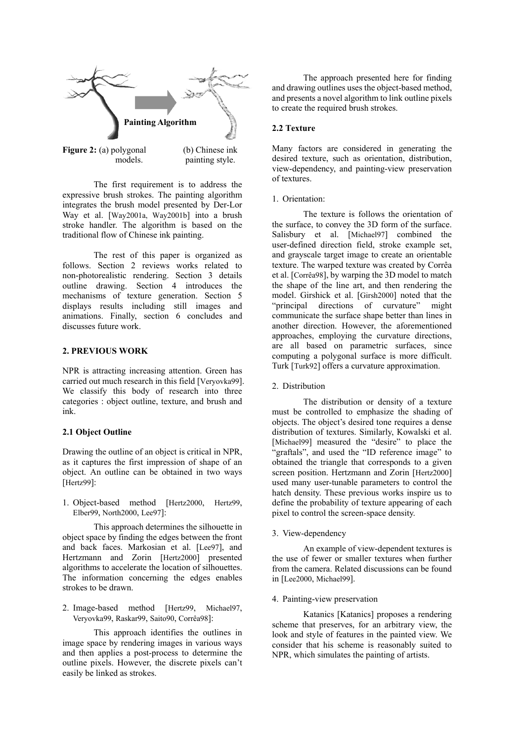

The first requirement is to address the expressive brush strokes. The painting algorithm integrates the brush model presented by Der-Lor Way et al. [Way2001a, Way2001b] into a brush stroke handler. The algorithm is based on the traditional flow of Chinese ink painting.

The rest of this paper is organized as follows. Section 2 reviews works related to non-photorealistic rendering. Section 3 details outline drawing. Section 4 introduces the mechanisms of texture generation. Section 5 displays results including still images and animations. Finally, section 6 concludes and discusses future work.

## **2. PREVIOUS WORK**

NPR is attracting increasing attention. Green has carried out much research in this field [Veryovka99]. We classify this body of research into three categories : object outline, texture, and brush and ink.

#### **2.1 Object Outline**

Drawing the outline of an object is critical in NPR, as it captures the first impression of shape of an object. An outline can be obtained in two ways [Hertz99]:

1. Object-based method [Hertz2000, Hertz99, Elber99, North2000, Lee97]:

This approach determines the silhouette in object space by finding the edges between the front and back faces. Markosian et al. [Lee97], and Hertzmann and Zorin [Hertz2000] presented algorithms to accelerate the location of silhouettes. The information concerning the edges enables strokes to be drawn.

2. Image-based method [Hertz99, Michael97, Veryovka99, Raskar99, Saito90, Corrêa98]:

This approach identifies the outlines in image space by rendering images in various ways and then applies a post-process to determine the outline pixels. However, the discrete pixels can't easily be linked as strokes.

The approach presented here for finding and drawing outlines uses the object-based method, and presents a novel algorithm to link outline pixels to create the required brush strokes.

Many factors are considered in generating the desired texture, such as orientation, distribution, view-dependency, and painting-view preservation of textures.

#### 1. Orientation:

The texture is follows the orientation of the surface, to convey the 3D form of the surface. Salisbury et al. [Michael97] combined the user-defined direction field, stroke example set, and grayscale target image to create an orientable texture. The warped texture was created by Corrêa et al. [Corrêa98], by warping the 3D model to match the shape of the line art, and then rendering the model. Girshick et al. [Girsh2000] noted that the "principal directions of curvature" might communicate the surface shape better than lines in another direction. However, the aforementioned approaches, employing the curvature directions, are all based on parametric surfaces, since computing a polygonal surface is more difficult. Turk [Turk92] offers a curvature approximation.

#### 2. Distribution

The distribution or density of a texture must be controlled to emphasize the shading of objects. The object's desired tone requires a dense distribution of textures. Similarly, Kowalski et al. [Michael99] measured the "desire" to place the "graftals", and used the "ID reference image" to obtained the triangle that corresponds to a given screen position. Hertzmann and Zorin [Hertz2000] used many user-tunable parameters to control the hatch density. These previous works inspire us to define the probability of texture appearing of each pixel to control the screen-space density.

3. View-dependency

An example of view-dependent textures is the use of fewer or smaller textures when further from the camera. Related discussions can be found in [Lee2000, Michael99].

#### 4. Painting-view preservation

Katanics [Katanics] proposes a rendering scheme that preserves, for an arbitrary view, the look and style of features in the painted view. We consider that his scheme is reasonably suited to NPR, which simulates the painting of artists.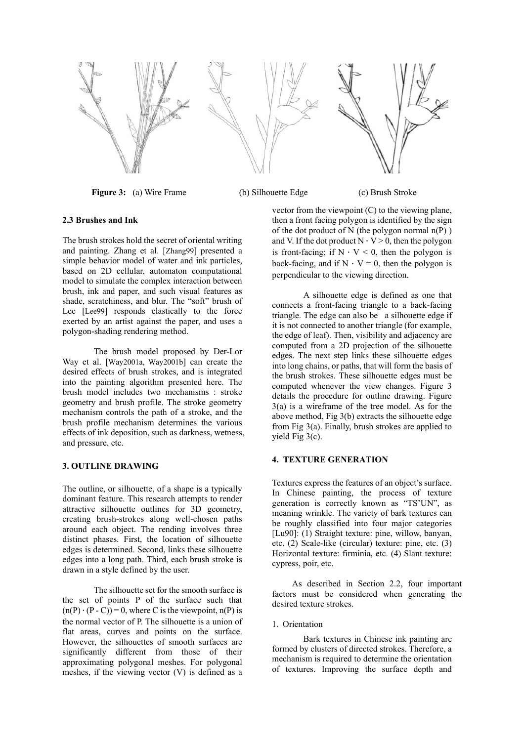

**Figure 3:** (a) Wire Frame (b) Silhouette Edge (c) Brush Stroke

## **2.3 Brushes and Ink**

The brush strokes hold the secret of oriental writing and painting. Zhang et al. [Zhang99] presented a simple behavior model of water and ink particles, based on 2D cellular, automaton computational model to simulate the complex interaction between brush, ink and paper, and such visual features as shade, scratchiness, and blur. The "soft" brush of Lee [Lee99] responds elastically to the force exerted by an artist against the paper, and uses a polygon-shading rendering method.

The brush model proposed by Der-Lor Way et al. [Way2001a, Way2001b] can create the desired effects of brush strokes, and is integrated into the painting algorithm presented here. The brush model includes two mechanisms : stroke geometry and brush profile. The stroke geometry mechanism controls the path of a stroke, and the brush profile mechanism determines the various effects of ink deposition, such as darkness, wetness, and pressure, etc.

#### **3. OUTLINE DRAWING**

The outline, or silhouette, of a shape is a typically dominant feature. This research attempts to render attractive silhouette outlines for 3D geometry, creating brush-strokes along well-chosen paths around each object. The rending involves three distinct phases. First, the location of silhouette edges is determined. Second, links these silhouette edges into a long path. Third, each brush stroke is drawn in a style defined by the user.

The silhouette set for the smooth surface is the set of points P of the surface such that  $(n(P) \cdot (P - C)) = 0$ , where C is the viewpoint, n(P) is the normal vector of P. The silhouette is a union of flat areas, curves and points on the surface. However, the silhouettes of smooth surfaces are significantly different from those of their approximating polygonal meshes. For polygonal meshes, if the viewing vector (V) is defined as a

vector from the viewpoint (C) to the viewing plane, then a front facing polygon is identified by the sign of the dot product of N (the polygon normal  $n(P)$ ) and V. If the dot product  $N \cdot V > 0$ , then the polygon is front-facing; if  $N \cdot V < 0$ , then the polygon is back-facing, and if  $N \cdot V = 0$ , then the polygon is perpendicular to the viewing direction.

A silhouette edge is defined as one that connects a front-facing triangle to a back-facing triangle. The edge can also be a silhouette edge if it is not connected to another triangle (for example, the edge of leaf). Then, visibility and adjacency are computed from a 2D projection of the silhouette edges. The next step links these silhouette edges into long chains, or paths, that will form the basis of the brush strokes. These silhouette edges must be computed whenever the view changes. Figure 3 details the procedure for outline drawing. Figure 3(a) is a wireframe of the tree model. As for the above method, Fig 3(b) extracts the silhouette edge from Fig 3(a). Finally, brush strokes are applied to yield Fig 3(c).

## **4. TEXTURE GENERATION**

Textures express the features of an object's surface. In Chinese painting, the process of texture generation is correctly known as "TS'UN", as meaning wrinkle. The variety of bark textures can be roughly classified into four major categories [Lu90]: (1) Straight texture: pine, willow, banyan, etc. (2) Scale-like (circular) texture: pine, etc. (3) Horizontal texture: firminia, etc. (4) Slant texture: cypress, poir, etc.

As described in Section 2.2, four important factors must be considered when generating the desired texture strokes.

#### 1. Orientation

Bark textures in Chinese ink painting are formed by clusters of directed strokes. Therefore, a mechanism is required to determine the orientation of textures. Improving the surface depth and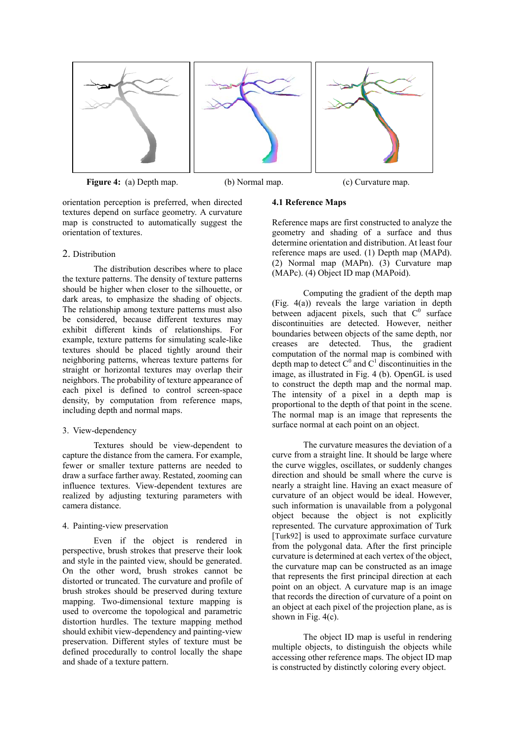





**Figure 4:** (a) Depth map. (b) Normal map. (c) Curvature map.

orientation perception is preferred, when directed textures depend on surface geometry. A curvature map is constructed to automatically suggest the orientation of textures.

## 2. Distribution

The distribution describes where to place the texture patterns. The density of texture patterns should be higher when closer to the silhouette, or dark areas, to emphasize the shading of objects. The relationship among texture patterns must also be considered, because different textures may exhibit different kinds of relationships. For example, texture patterns for simulating scale-like textures should be placed tightly around their neighboring patterns, whereas texture patterns for straight or horizontal textures may overlap their neighbors. The probability of texture appearance of each pixel is defined to control screen-space density, by computation from reference maps, including depth and normal maps.

## 3. View-dependency

Textures should be view-dependent to capture the distance from the camera. For example, fewer or smaller texture patterns are needed to draw a surface farther away. Restated, zooming can influence textures. View-dependent textures are realized by adjusting texturing parameters with camera distance.

## 4. Painting-view preservation

Even if the object is rendered in perspective, brush strokes that preserve their look and style in the painted view, should be generated. On the other word, brush strokes cannot be distorted or truncated. The curvature and profile of brush strokes should be preserved during texture mapping. Two-dimensional texture mapping is used to overcome the topological and parametric distortion hurdles. The texture mapping method should exhibit view-dependency and painting-view preservation. Different styles of texture must be defined procedurally to control locally the shape and shade of a texture pattern.

## **4.1 Reference Maps**

Reference maps are first constructed to analyze the geometry and shading of a surface and thus determine orientation and distribution. At least four reference maps are used. (1) Depth map (MAPd). (2) Normal map (MAPn). (3) Curvature map (MAPc). (4) Object ID map (MAPoid).

Computing the gradient of the depth map (Fig. 4(a)) reveals the large variation in depth between adjacent pixels, such that  $C^0$  surface discontinuities are detected. However, neither boundaries between objects of the same depth, nor creases are detected. Thus, the gradient computation of the normal map is combined with depth map to detect  $C^0$  and  $C^1$  discontinuities in the image, as illustrated in Fig. 4 (b). OpenGL is used to construct the depth map and the normal map. The intensity of a pixel in a depth map is proportional to the depth of that point in the scene. The normal map is an image that represents the surface normal at each point on an object.

The curvature measures the deviation of a curve from a straight line. It should be large where the curve wiggles, oscillates, or suddenly changes direction and should be small where the curve is nearly a straight line. Having an exact measure of curvature of an object would be ideal. However, such information is unavailable from a polygonal object because the object is not explicitly represented. The curvature approximation of Turk [Turk92] is used to approximate surface curvature from the polygonal data. After the first principle curvature is determined at each vertex of the object, the curvature map can be constructed as an image that represents the first principal direction at each point on an object. A curvature map is an image that records the direction of curvature of a point on an object at each pixel of the projection plane, as is shown in Fig. 4(c).

The object ID map is useful in rendering multiple objects, to distinguish the objects while accessing other reference maps. The object ID map is constructed by distinctly coloring every object.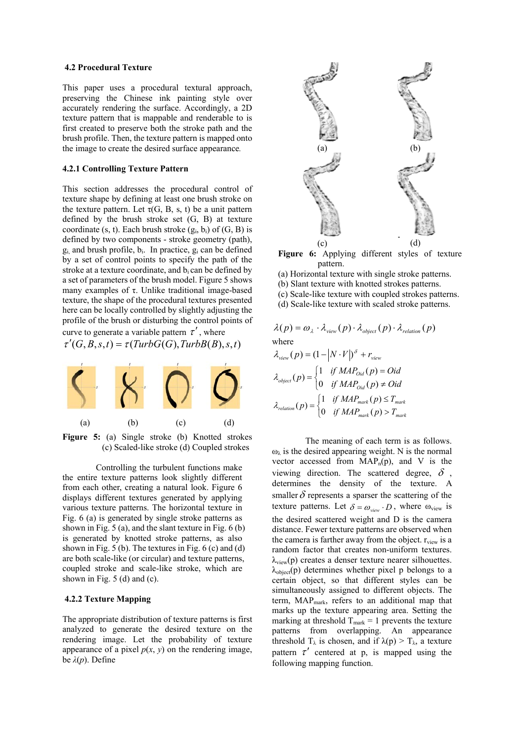#### **4.2 Procedural Texture**

This paper uses a procedural textural approach, preserving the Chinese ink painting style over accurately rendering the surface. Accordingly, a 2D texture pattern that is mappable and renderable to is first created to preserve both the stroke path and the brush profile. Then, the texture pattern is mapped onto the image to create the desired surface appearance*.*

## **4.2.1 Controlling Texture Pattern**

This section addresses the procedural control of texture shape by defining at least one brush stroke on the texture pattern. Let  $\tau(G, B, s, t)$  be a unit pattern defined by the brush stroke set (G, B) at texture coordinate (s, t). Each brush stroke  $(g_i, b_i)$  of  $(G, B)$  is defined by two components - stroke geometry (path),  $g_i$  and brush profile,  $b_i$ . In practice,  $g_i$  can be defined by a set of control points to specify the path of the stroke at a texture coordinate, and  $b_i$  can be defined by a set of parameters of the brush model. Figure 5 shows many examples of  $τ$ . Unlike traditional image-based texture, the shape of the procedural textures presented here can be locally controlled by slightly adjusting the profile of the brush or disturbing the control points of

curve to generate a variable pattern  $\tau'$ , where  $\tau'(G, B, s, t) = \tau(TurbG(G), TurbB(B), s, t)$ 



**Figure 5:** (a) Single stroke (b) Knotted strokes (c) Scaled-like stroke (d) Coupled strokes

Controlling the turbulent functions make the entire texture patterns look slightly different from each other, creating a natural look. Figure 6 displays different textures generated by applying various texture patterns. The horizontal texture in Fig. 6 (a) is generated by single stroke patterns as shown in Fig. 5 (a), and the slant texture in Fig. 6 (b) is generated by knotted stroke patterns, as also shown in Fig. 5 (b). The textures in Fig. 6 (c) and (d) are both scale-like (or circular) and texture patterns, coupled stroke and scale-like stroke, which are shown in Fig. 5 (d) and (c).

#### **4.2.2 Texture Mapping**

The appropriate distribution of texture patterns is first analyzed to generate the desired texture on the rendering image. Let the probability of texture appearance of a pixel  $p(x, y)$  on the rendering image, be *λ*(*p*). Define



**Figure 6:** Applying different styles of texture pattern.

- (a) Horizontal texture with single stroke patterns.
- (b) Slant texture with knotted strokes patterns.
- (c) Scale-like texture with coupled strokes patterns.
- (d) Scale-like texture with scaled stroke patterns.

$$
\lambda(p) = \omega_{\lambda} \cdot \lambda_{view}(p) \cdot \lambda_{object}(p) \cdot \lambda_{relation}(p)
$$
  
where

$$
\lambda_{view}(p) = (1 - |N \cdot V|)^{\delta} + r_{view}
$$
\n
$$
\lambda_{object}(p) = \begin{cases}\n1 & \text{if } MAP_{oid}(p) = Oid \\
0 & \text{if } MAP_{oid}(p) \neq Oid\n\end{cases}
$$
\n
$$
\lambda_{relation}(p) = \begin{cases}\n1 & \text{if } MAP_{mark}(p) \le T_{mark} \\
0 & \text{if } MAP_{mark}(p) > T_{mark}\n\end{cases}
$$

The meaning of each term is as follows.  $\omega_{\lambda}$  is the desired appearing weight. N is the normal vector accessed from  $MAP_n(p)$ , and V is the viewing direction. The scattered degree,  $\delta$ , determines the density of the texture. A smaller  $\delta$  represents a sparser the scattering of the texture patterns. Let  $\delta = \omega_{\text{view}} \cdot D$ , where  $\omega_{\text{view}}$  is the desired scattered weight and D is the camera distance. Fewer texture patterns are observed when the camera is farther away from the object.  $r_{view}$  is a random factor that creates non-uniform textures.  $\lambda_{\text{view}}(p)$  creates a denser texture nearer silhouettes.  $\lambda_{\text{object}}(p)$  determines whether pixel p belongs to a certain object, so that different styles can be simultaneously assigned to different objects. The term, MAP<sub>mark</sub>, refers to an additional map that marks up the texture appearing area. Setting the marking at threshold  $T_{\text{mark}} = 1$  prevents the texture patterns from overlapping. An appearance threshold  $T_{\lambda}$  is chosen, and if  $\lambda(p) > T_{\lambda}$ , a texture pattern  $\tau'$  centered at p, is mapped using the following mapping function.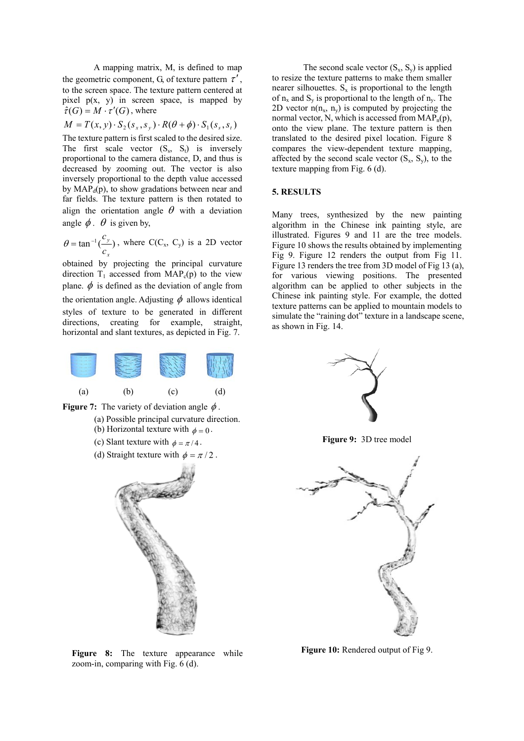A mapping matrix, M, is defined to map the geometric component, G, of texture pattern  $\tau'$ , to the screen space. The texture pattern centered at pixel  $p(x, y)$  in screen space, is mapped by  $\hat{\tau}(G) = M \cdot \tau'(G)$ , where

$$
M = T(x, y) \cdot S_2(s_x, s_y) \cdot R(\theta + \phi) \cdot S_1(s_s, s_t)
$$

The texture pattern is first scaled to the desired size. The first scale vector  $(S_s, S_t)$  is inversely proportional to the camera distance, D, and thus is decreased by zooming out. The vector is also inversely proportional to the depth value accessed by  $MAP_d(p)$ , to show gradations between near and far fields. The texture pattern is then rotated to align the orientation angle  $\theta$  with a deviation angle  $\phi$ .  $\theta$  is given by,

 $\tan^{-1}(\frac{y}{y})$ *x y c*  $\theta = \tan^{-1}(\frac{c_y}{c_x})$ , where C(C<sub>x</sub>, C<sub>y</sub>) is a 2D vector

obtained by projecting the principal curvature direction  $T_1$  accessed from  $MAP_c(p)$  to the view plane.  $\phi$  is defined as the deviation of angle from the orientation angle. Adjusting  $\phi$  allows identical styles of texture to be generated in different directions, creating for example, straight, horizontal and slant textures, as depicted in Fig. 7.





- (a) Possible principal curvature direction.
- (b) Horizontal texture with  $\phi = 0$ .
- (c) Slant texture with  $\phi = \pi/4$ .
- (d) Straight texture with  $\phi = \pi/2$ .



Figure 8: The texture appearance while zoom-in, comparing with Fig. 6 (d).

The second scale vector  $(S_x, S_y)$  is applied to resize the texture patterns to make them smaller nearer silhouettes.  $S_x$  is proportional to the length of  $n_x$  and  $S_y$  is proportional to the length of  $n_y$ . The 2D vector  $n(n_x, n_y)$  is computed by projecting the normal vector, N, which is accessed from  $MAP<sub>n</sub>(p)$ , onto the view plane. The texture pattern is then translated to the desired pixel location. Figure 8 compares the view-dependent texture mapping, affected by the second scale vector  $(S_x, S_y)$ , to the texture mapping from Fig. 6 (d).

## **5. RESULTS**

Many trees, synthesized by the new painting algorithm in the Chinese ink painting style, are illustrated. Figures 9 and 11 are the tree models. Figure 10 shows the results obtained by implementing Fig 9. Figure 12 renders the output from Fig 11. Figure 13 renders the tree from 3D model of Fig 13 (a), for various viewing positions. The presented algorithm can be applied to other subjects in the Chinese ink painting style. For example, the dotted texture patterns can be applied to mountain models to simulate the "raining dot" texture in a landscape scene, as shown in Fig. 14.



**Figure 9:** 3D tree model



**Figure 10:** Rendered output of Fig 9.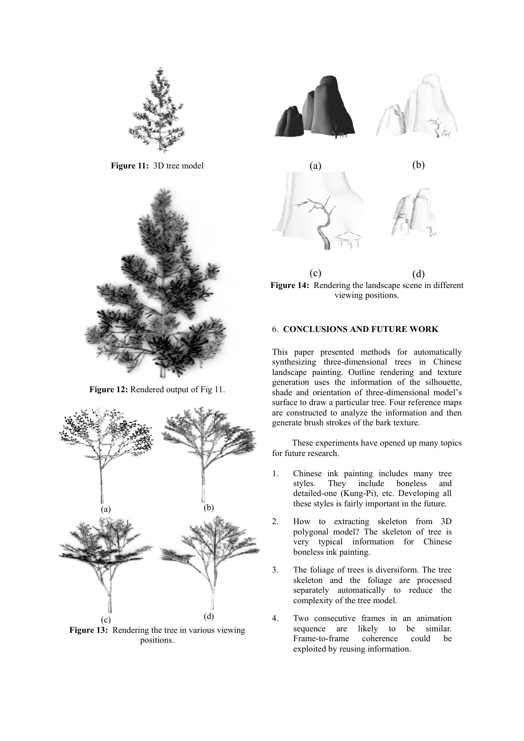

**Figure 11:** 3D tree model



**Figure 12:** Rendered output of Fig 11.



**Figure 13:** Rendering the tree in various viewing positions.



 $\qquad \qquad \textbf{(c)}\qquad \qquad \textbf{(d)}$ **Figure 14:** Rendering the landscape scene in different viewing positions.

## 6. **CONCLUSIONS AND FUTURE WORK**

This paper presented methods for automatically synthesizing three-dimensional trees in Chinese landscape painting. Outline rendering and texture generation uses the information of the silhouette, shade and orientation of three-dimensional model's surface to draw a particular tree. Four reference maps are constructed to analyze the information and then generate brush strokes of the bark texture.

These experiments have opened up many topics for future research.

- 1. Chinese ink painting includes many tree styles. They include boneless and detailed-one (Kung-Pi), etc. Developing all these styles is fairly important in the future.
- 2. How to extracting skeleton from 3D polygonal model? The skeleton of tree is very typical information for Chinese boneless ink painting.
- 3. The foliage of trees is diversiform. The tree skeleton and the foliage are processed separately automatically to reduce the complexity of the tree model.
- 4. Two consecutive frames in an animation sequence are likely to be similar. Frame-to-frame coherence could be exploited by reusing information.